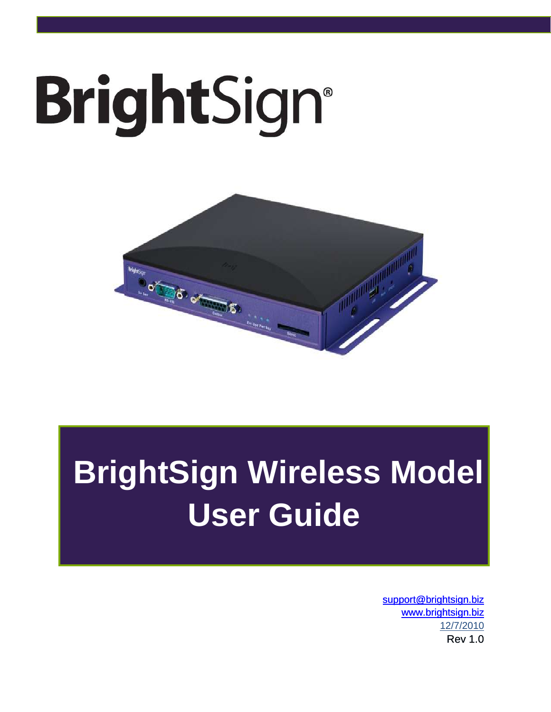# **BrightSign®**



# **BrightSign Wireless Model User Guide**

[support@brightsign.biz](mailto:support@brightsign.biz) [www.brightsign.biz](file:///C:/Users/Costco/AppData/Local/Microsoft/Windows/Temporary%20Internet%20Files/OLKDF5E/www.brightsign.biz) 12/7/2010 Rev 1.0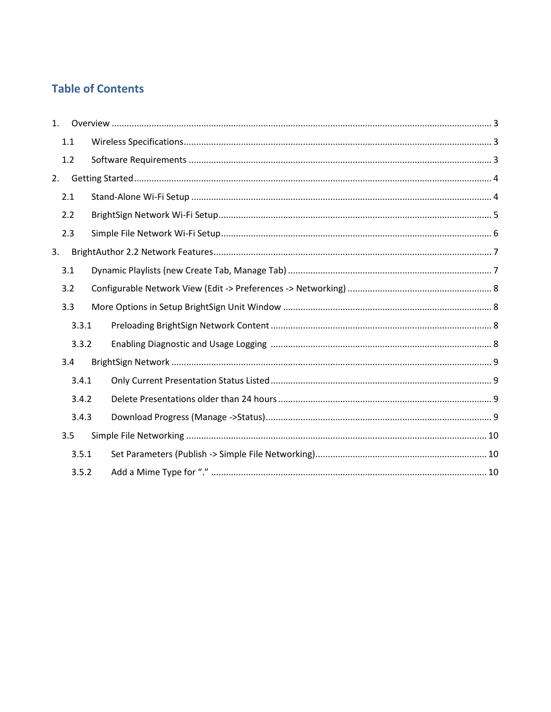# **Table of Contents**

| 1 <sub>1</sub> |     |       |  |
|----------------|-----|-------|--|
|                | 1.1 |       |  |
|                | 1.2 |       |  |
| 2.             |     |       |  |
|                | 2.1 |       |  |
|                | 2.2 |       |  |
|                | 2.3 |       |  |
| 3.             |     |       |  |
|                | 3.1 |       |  |
|                | 3.2 |       |  |
|                | 3.3 |       |  |
|                |     | 3.3.1 |  |
|                |     | 3.3.2 |  |
|                | 3.4 |       |  |
|                |     | 3.4.1 |  |
|                |     | 3.4.2 |  |
|                |     | 3.4.3 |  |
|                | 3.5 |       |  |
|                |     | 3.5.1 |  |
|                |     | 3.5.2 |  |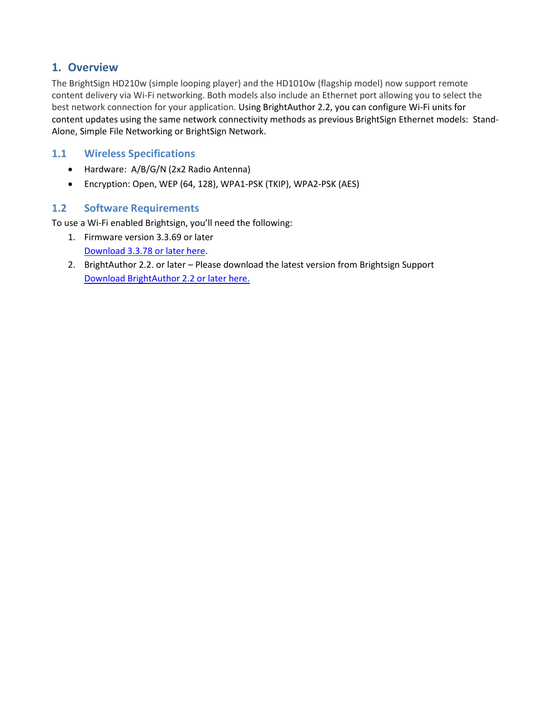## <span id="page-2-0"></span>**1. Overview**

The BrightSign HD210w (simple looping player) and the HD1010w (flagship model) now support remote content delivery via Wi-Fi networking. Both models also include an Ethernet port allowing you to select the best network connection for your application. Using BrightAuthor 2.2, you can configure Wi-Fi units for content updates using the same network connectivity methods as previous BrightSign Ethernet models: Stand-Alone, Simple File Networking or BrightSign Network.

#### <span id="page-2-1"></span>**1.1 Wireless Specifications**

- Hardware: A/B/G/N (2x2 Radio Antenna)
- Encryption: Open, WEP (64, 128), WPA1-PSK (TKIP), WPA2-PSK (AES)

#### <span id="page-2-2"></span>**1.2 Software Requirements**

To use a Wi-Fi enabled Brightsign, you'll need the following:

- 1. Firmware version 3.3.69 or later [Download 3.3.78](http://brightsign.zendesk.com/entries/312793-brightsign-firmware) or later here.
- 2. BrightAuthor 2.2. or later Please download the latest version from Brightsign Support [Download BrightAuthor 2.2 or later here.](https://www.brightsignnetwork.com/download/Software/BrightAuthorSetup.2.2.0.32.zip)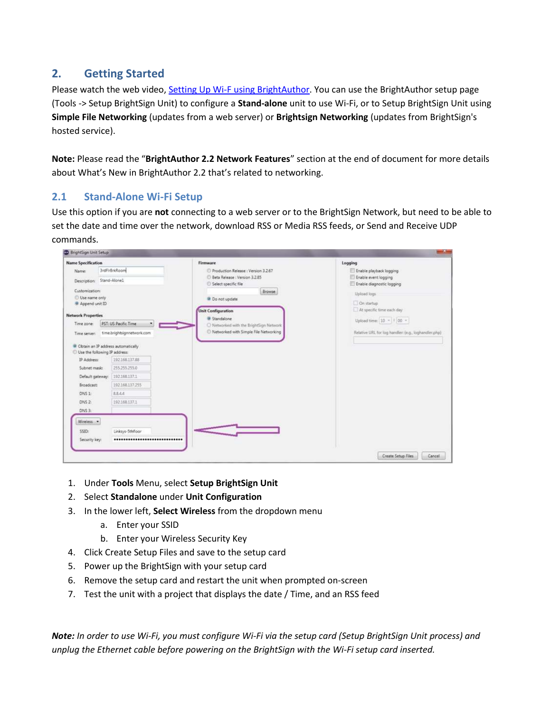# <span id="page-3-0"></span>**2. Getting Started**

Please watch the web video, Setting Up Wi-F [using BrightAuthor.](http://c1567012.cdn.cloudfiles.rackspacecloud.com/Wifi-BrightAuthor-2.2.flv) You can use the BrightAuthor setup page (Tools -> Setup BrightSign Unit) to configure a **Stand-alone** unit to use Wi-Fi, or to Setup BrightSign Unit using **Simple File Networking** (updates from a web server) or **Brightsign Networking** (updates from BrightSign's hosted service).

**Note:** Please read the "**BrightAuthor 2.2 Network Features**" section at the end of document for more details about What's New in BrightAuthor 2.2 that's related to networking.

## <span id="page-3-1"></span>**2.1 Stand-Alone Wi-Fi Setup**

Use this option if you are **not** connecting to a web server or to the BrightSign Network, but need to be able to set the date and time over the network, download RSS or Media RSS feeds, or Send and Receive UDP commands.

| <b>Name Specification</b>                    |                                                                                  | Firmware                                           | Logging                                              |
|----------------------------------------------|----------------------------------------------------------------------------------|----------------------------------------------------|------------------------------------------------------|
| <b>Name:</b>                                 | 3rdFirBrkRoom                                                                    | Production Release : Version 3.2.67                | Enable playback logging                              |
|                                              | Description: Stand-Alone1                                                        | Beta Release : Version 3.2.85                      | Enable event logging                                 |
|                                              |                                                                                  | Select specific file                               | Enable diagnostic logging                            |
| Customization:                               |                                                                                  | Browse                                             | Upload fogs                                          |
| Use name only<br><sup>4</sup> Append unit ID |                                                                                  | Do not update                                      | On startup                                           |
|                                              |                                                                                  | <b>Unit Configuration</b>                          | At specific time each day                            |
| <b>Network Properties</b>                    |                                                                                  | <b>Q</b> Standalone                                |                                                      |
| Time zone:                                   | PST: US Pacific Time                                                             | O Networked with the BrightSign Network            | Upload time: 10 = 1 00 =                             |
| Time server:                                 | time.brightsignnetwork.com                                                       | <sup>6</sup> Networked with Simple File Networking | Relative URL for log handler: (e.g., loghandler.php) |
|                                              | <sup>o</sup> Obtain an IP address automatically<br>Use the following IP address: |                                                    |                                                      |
| IP Address:                                  | 192.168.137.88                                                                   |                                                    |                                                      |
| Subnet mask:                                 | 255255255.0                                                                      |                                                    |                                                      |
|                                              | Default gateway:   192.168.137.1                                                 |                                                    |                                                      |
| Broadcast:                                   | 102168137.255                                                                    |                                                    |                                                      |
| DNS 1                                        | 8844                                                                             |                                                    |                                                      |
| DNS <sub>2</sub>                             | 192.168.137.1                                                                    |                                                    |                                                      |
| DNS 3:                                       |                                                                                  |                                                    |                                                      |
| Wireless. -                                  |                                                                                  |                                                    |                                                      |
| SSID:                                        | Linksys-5thfloor                                                                 |                                                    |                                                      |
| Security key:                                |                                                                                  |                                                    |                                                      |

- 1. Under **Tools** Menu, select **Setup BrightSign Unit**
- 2. Select **Standalone** under **Unit Configuration**
- 3. In the lower left, **Select Wireless** from the dropdown menu
	- a. Enter your SSID
	- b. Enter your Wireless Security Key
- 4. Click Create Setup Files and save to the setup card
- 5. Power up the BrightSign with your setup card
- 6. Remove the setup card and restart the unit when prompted on-screen
- 7. Test the unit with a project that displays the date / Time, and an RSS feed

*Note: In order to use Wi-Fi, you must configure Wi-Fi via the setup card (Setup BrightSign Unit process) and unplug the Ethernet cable before powering on the BrightSign with the Wi-Fi setup card inserted.*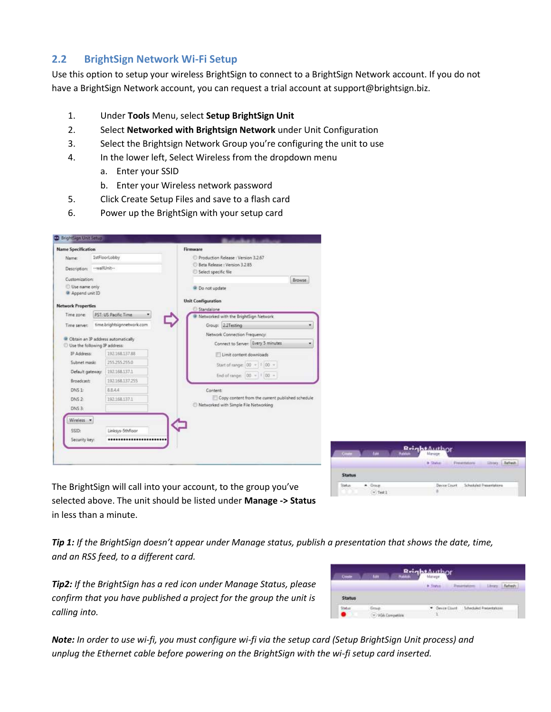#### <span id="page-4-0"></span>**2.2 BrightSign Network Wi-Fi Setup**

Use this option to setup your wireless BrightSign to connect to a BrightSign Network account. If you do not have a BrightSign Network account, you can request a trial account at support@brightsign.biz.

- 1. Under **Tools** Menu, select **Setup BrightSign Unit**
- 2. Select **Networked with Brightsign Network** under Unit Configuration
- 3. Select the Brightsign Network Group you're configuring the unit to use
- 4. In the lower left, Select Wireless from the dropdown menu
	- a. Enter your SSID
	- b. Enter your Wireless network password
- 5. Click Create Setup Files and save to a flash card
- 6. Power up the BrightSign with your setup card

| <b>Name Specification</b>     |              |                                                 | Firmware                  |                                                       |                                                  |        |
|-------------------------------|--------------|-------------------------------------------------|---------------------------|-------------------------------------------------------|--------------------------------------------------|--------|
| Name:                         |              | 1stFloorLobby                                   |                           |                                                       | Production Release : Version 3.2.67              |        |
| Description:                  | --wallUnit-- |                                                 |                           | Beta Release : Version 3.2.85<br>Select specific file |                                                  |        |
| Customization:                |              |                                                 |                           |                                                       |                                                  | Browse |
| Use name only                 |              |                                                 |                           | <sup>9</sup> Do not update                            |                                                  |        |
| Append unit ID                |              |                                                 |                           |                                                       |                                                  |        |
| <b>Network Properties</b>     |              |                                                 | <b>Unit Configuration</b> |                                                       |                                                  |        |
| Time zone:                    |              | PST: US Pacific Time                            | Standalone                |                                                       | Networked with the BrightSign Network            |        |
| Time server:                  |              | time.brightsignnetwork.com                      |                           |                                                       | Group: 2.2Testing                                |        |
|                               |              |                                                 |                           |                                                       | Network Connection Frequency:                    |        |
| Use the following IP address: |              | <sup>a</sup> Obtain an IP address automatically |                           |                                                       | Connect to Server: Every 5 minutes               |        |
| IP Address:                   |              | 192.168.137.88                                  |                           |                                                       | Limit content downloads                          |        |
| Subnet mask:                  |              | 255.255.255.0                                   |                           |                                                       | Start of range: 00 = 1 00 =                      |        |
| Default gateway:              |              | 192.168.137.1                                   |                           |                                                       | End of range: $00 - 100 -$                       |        |
| <b>Broadcast:</b>             |              | 192.168.137.255                                 |                           |                                                       |                                                  |        |
| DNS 1:                        |              | 8.8.4.4                                         |                           | Content:                                              |                                                  |        |
| DNS2                          |              | 192,168,137.1                                   |                           |                                                       | Copy content from the current published schedule |        |
| DNS <sub>3</sub>              |              |                                                 |                           |                                                       | Networked with Simple File Networking            |        |
| Wireless -                    |              |                                                 |                           |                                                       |                                                  |        |
|                               |              |                                                 |                           |                                                       |                                                  |        |
| SSID:                         |              | Linksys-5thfloor                                |                           |                                                       |                                                  |        |
| Security key:                 |              |                                                 |                           |                                                       |                                                  |        |



The BrightSign will call into your account, to the group you've selected above. The unit should be listed under **Manage -> Status** in less than a minute.

*Tip 1: If the BrightSign doesn't appear under Manage status, publish a presentation that shows the date, time, and an RSS feed, to a different card.* 

*Tip2: If the BrightSign has a red icon under Manage Status, please confirm that you have published a project for the group the unit is calling into.*

| Creste        | <b>Gili</b>    | <b>ReightAuthor</b> |                                                                                 |  |
|---------------|----------------|---------------------|---------------------------------------------------------------------------------|--|
|               |                | ---                 |                                                                                 |  |
| <b>Status</b> |                |                     |                                                                                 |  |
| Status        | Group.         |                     | * Device Count Scheduled Presentations                                          |  |
|               | VGA Compatible |                     | the property of the company's company's company's company's company's company's |  |

*Note: In order to use wi-fi, you must configure wi-fi via the setup card (Setup BrightSign Unit process) and unplug the Ethernet cable before powering on the BrightSign with the wi-fi setup card inserted.*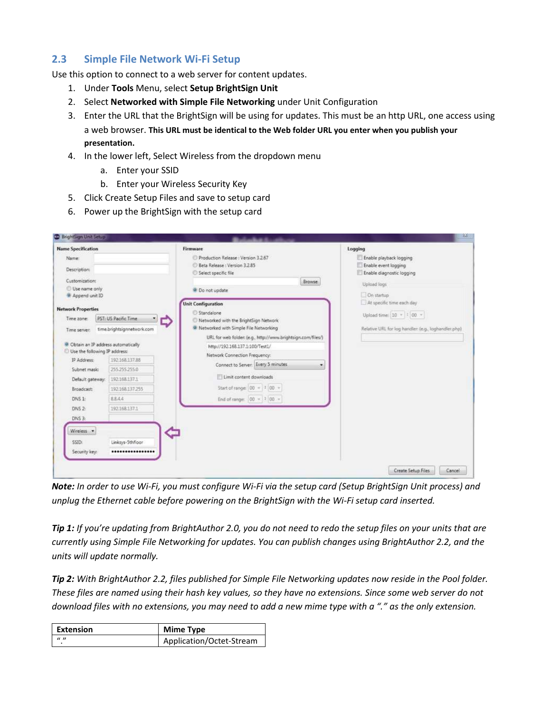#### <span id="page-5-0"></span>**2.3 Simple File Network Wi-Fi Setup**

Use this option to connect to a web server for content updates.

- 1. Under **Tools** Menu, select **Setup BrightSign Unit**
- 2. Select **Networked with Simple File Networking** under Unit Configuration
- 3. Enter the URL that the BrightSign will be using for updates. This must be an http URL, one access using a web browser. **This URL must be identical to the Web folder URL you enter when you publish your presentation.**
- 4. In the lower left, Select Wireless from the dropdown menu
	- a. Enter your SSID
	- b. Enter your Wireless Security Key
- 5. Click Create Setup Files and save to setup card
- 6. Power up the BrightSign with the setup card

| <b>Name Specification</b>                                                                                                                                                                                                                           |                                                                                                            | Firmware                                                                                                                                                                                                                                                                                                                                                                      | Logging                                                                                                                                     |
|-----------------------------------------------------------------------------------------------------------------------------------------------------------------------------------------------------------------------------------------------------|------------------------------------------------------------------------------------------------------------|-------------------------------------------------------------------------------------------------------------------------------------------------------------------------------------------------------------------------------------------------------------------------------------------------------------------------------------------------------------------------------|---------------------------------------------------------------------------------------------------------------------------------------------|
| Name:<br><b>Description:</b>                                                                                                                                                                                                                        |                                                                                                            | Production Release : Version 3.2.67<br>Beta Release: Version 3,2.85<br>Select specific file                                                                                                                                                                                                                                                                                   | Enable playback logging<br>Enable event logging<br>Enable diagnostic logging                                                                |
| Customization:<br>Use name only<br>Append unit ID<br><b>Network Properties</b><br>Time zone:<br>Time server:<br><sup>Q</sup> Obtain an IP address automatically<br>Use the following IP address:<br>IP Address:<br>Subnet mask:<br>Default gateway: | PST: US Pacific Time<br>⇨<br>time.brightsignnetwork.com<br>192168.137.88<br>255,255,255.0<br>192.168.137.1 | Browse<br>O Do not update<br><b>Unit Configuration</b><br>Standalone<br>Networked with the BrightSign Network<br><sup>9</sup> Networked with Simple File Networking<br>URL for web folder: (e.g., http://www.brightsign.com/files/)<br>http://192.168.137.1:100/Test1/<br>Network Connection Frequency:<br>Connect to Server: Every 5 minutes<br>۰<br>Limit content downloads | Upload Togs<br>On startup<br>At specific time each day<br>Upload time: 10 =   100 =<br>Relative URL for log handler: (e.g., loghandler.php) |
| Broadcast<br>DNS 1:<br>DNS <sub>2</sub><br>$DNS$ $3$ :<br>Wireless -                                                                                                                                                                                | 192.168.137.255<br>8844<br>192168.137.1                                                                    | Start of range: $00 = 100 =$<br>End of range: $ 00 - 1 00 -$                                                                                                                                                                                                                                                                                                                  |                                                                                                                                             |
| SSID:<br>Security key:                                                                                                                                                                                                                              | Linksys-5thfloor<br>                                                                                       |                                                                                                                                                                                                                                                                                                                                                                               | Create Setup Files<br>Cancel                                                                                                                |

*Note: In order to use Wi-Fi, you must configure Wi-Fi via the setup card (Setup BrightSign Unit process) and unplug the Ethernet cable before powering on the BrightSign with the Wi-Fi setup card inserted.*

*Tip 1: If you're updating from BrightAuthor 2.0, you do not need to redo the setup files on your units that are currently using Simple File Networking for updates. You can publish changes using BrightAuthor 2.2, and the units will update normally.*

<span id="page-5-1"></span>*Tip 2: With BrightAuthor 2.2, files published for Simple File Networking updates now reside in the Pool folder. These files are named using their hash key values, so they have no extensions. Since some web server do not download files with no extensions, you may need to add a new mime type with a "." as the only extension.*

| Extension        | <b>Mime Type</b>         |
|------------------|--------------------------|
| $\boldsymbol{u}$ | Application/Octet-Stream |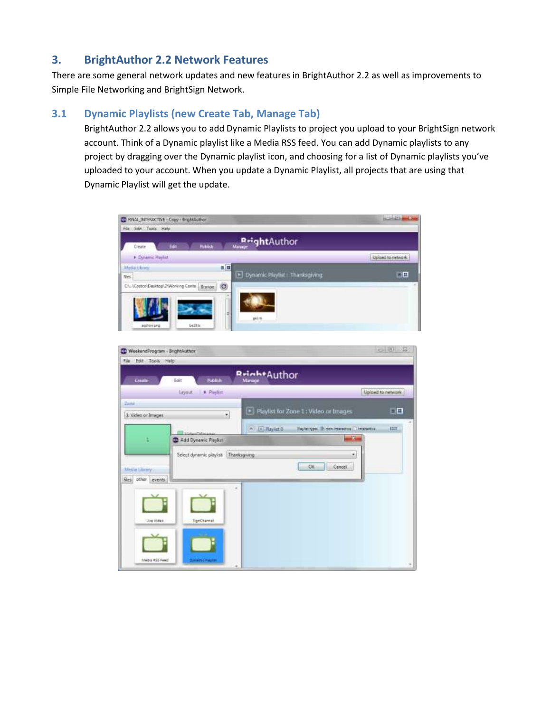# <span id="page-6-0"></span>**3. BrightAuthor 2.2 Network Features**

There are some general network updates and new features in BrightAuthor 2.2 as well as improvements to Simple File Networking and BrightSign Network.

# <span id="page-6-1"></span>**3.1 Dynamic Playlists (new Create Tab, Manage Tab)**

BrightAuthor 2.2 allows you to add Dynamic Playlists to project you upload to your BrightSign network account. Think of a Dynamic playlist like a Media RSS feed. You can add Dynamic playlists to any project by dragging over the Dynamic playlist icon, and choosing for a list of Dynamic playlists you've uploaded to your account. When you update a Dynamic Playlist, all projects that are using that Dynamic Playlist will get the update.

| FINAL INTERACTIVE - Copy - BrightAuthor<br>File Edit: Too's Halp |                               |                   |
|------------------------------------------------------------------|-------------------------------|-------------------|
| <b>Hubitch</b><br>lide<br>Create                                 | RrightAuthor                  |                   |
| P. Dynamic Restiet                                               |                               | Upined to network |
| 英国<br><b>Media Library</b><br><b>Nes</b>                         | Dynamic Playlist Thanksgiving | 自田                |
| ø<br>Ch. \Costco\Desktop\2\Working Conte   Erowse                |                               |                   |
|                                                                  |                               |                   |
|                                                                  | Φ<br>pin.                     |                   |
| balling<br>aghov.prg                                             |                               |                   |

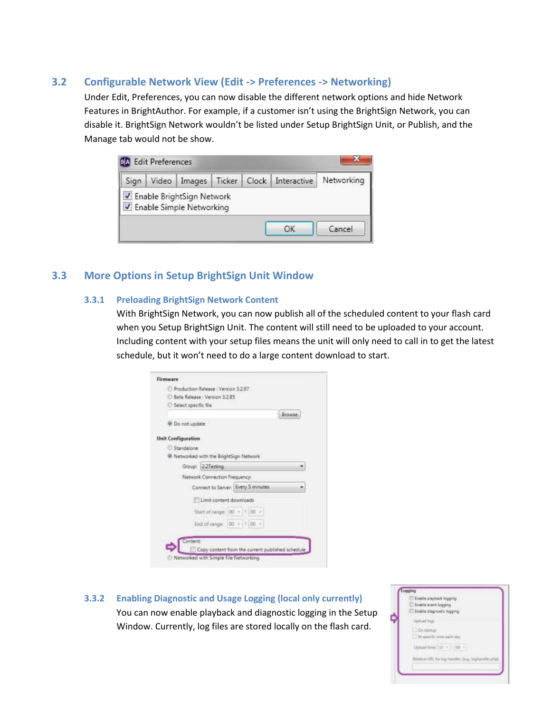#### <span id="page-7-0"></span>**3.2 Configurable Network View (Edit -> Preferences -> Networking)**

Under Edit, Preferences, you can now disable the different network options and hide Network Features in BrightAuthor. For example, if a customer isn't using the BrightSign Network, you can disable it. BrightSign Network wouldn't be listed under Setup BrightSign Unit, or Publish, and the Manage tab would not be show.

| Enable BrightSign Network<br>Enable Simple Networking |  |
|-------------------------------------------------------|--|

#### <span id="page-7-2"></span><span id="page-7-1"></span>**3.3 More Options in Setup BrightSign Unit Window**

#### **3.3.1 Preloading BrightSign Network Content**

With BrightSign Network, you can now publish all of the scheduled content to your flash card when you Setup BrightSign Unit. The content will still need to be uploaded to your account. Including content with your setup files means the unit will only need to call in to get the latest schedule, but it won't need to do a large content download to start.

| Beta Release : Version 3.2.85<br>Select specific file<br>Browse<br>Do not update<br>Standalone<br>Networked with the BrightSign Network<br>Group: 2.2Testing<br>Network Connection Frequency:<br>Connect to Server: Every 5 minutes<br>Limit content downloads<br>Start of range: (00 = 1 00 =<br>End of range: $00 - 100 -$ | Production Release : Version 3.2.67 |  |  |
|------------------------------------------------------------------------------------------------------------------------------------------------------------------------------------------------------------------------------------------------------------------------------------------------------------------------------|-------------------------------------|--|--|
|                                                                                                                                                                                                                                                                                                                              |                                     |  |  |
|                                                                                                                                                                                                                                                                                                                              |                                     |  |  |
|                                                                                                                                                                                                                                                                                                                              |                                     |  |  |
|                                                                                                                                                                                                                                                                                                                              |                                     |  |  |
|                                                                                                                                                                                                                                                                                                                              |                                     |  |  |
|                                                                                                                                                                                                                                                                                                                              | <b>Unit Configuration</b>           |  |  |
|                                                                                                                                                                                                                                                                                                                              |                                     |  |  |
|                                                                                                                                                                                                                                                                                                                              |                                     |  |  |
|                                                                                                                                                                                                                                                                                                                              |                                     |  |  |
|                                                                                                                                                                                                                                                                                                                              |                                     |  |  |
|                                                                                                                                                                                                                                                                                                                              |                                     |  |  |
|                                                                                                                                                                                                                                                                                                                              |                                     |  |  |
|                                                                                                                                                                                                                                                                                                                              |                                     |  |  |
|                                                                                                                                                                                                                                                                                                                              |                                     |  |  |
|                                                                                                                                                                                                                                                                                                                              |                                     |  |  |

<span id="page-7-3"></span>**3.3.2 Enabling Diagnostic and Usage Logging (local only currently)** You can now enable playback and diagnostic logging in the Setup Window. Currently, log files are stored locally on the flash card.

| ogging<br>Enable playback logging                  |
|----------------------------------------------------|
| Inable event loggers                               |
| Enable diagnostic logging                          |
| <b>Ushrad</b> fents                                |
| <b>ET OVERWOOD</b><br>At spatific time each day.   |
| Upload tivie: 10 =     00 =                        |
| Relative URL for log handled ling, logitandles and |
|                                                    |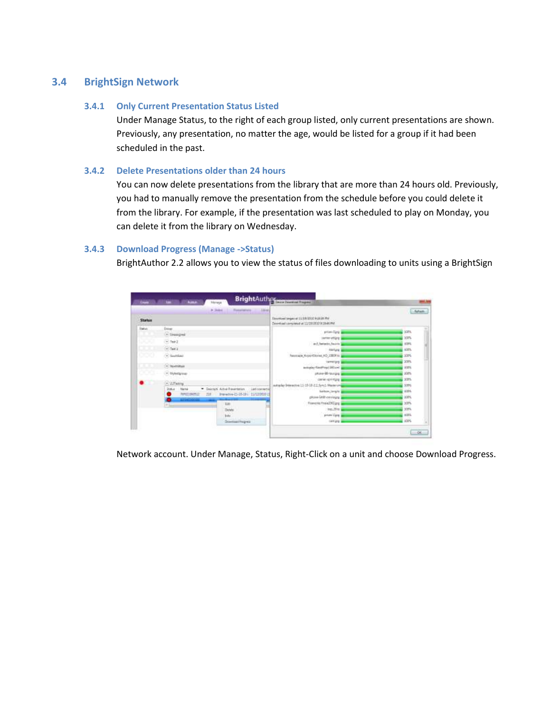#### <span id="page-8-1"></span><span id="page-8-0"></span>**3.4 BrightSign Network**

#### **3.4.1 Only Current Presentation Status Listed**

Under Manage Status, to the right of each group listed, only current presentations are shown. Previously, any presentation, no matter the age, would be listed for a group if it had been scheduled in the past.

#### <span id="page-8-2"></span>**3.4.2 Delete Presentations older than 24 hours**

You can now delete presentations from the library that are more than 24 hours old. Previously, you had to manually remove the presentation from the schedule before you could delete it from the library. For example, if the presentation was last scheduled to play on Monday, you can delete it from the library on Wednesday.

#### <span id="page-8-3"></span>**3.4.3 Download Progress (Manage ->Status)**

BrightAuthor 2.2 allows you to view the status of files downloading to units using a BrightSign

|                |                                                                       | $+$ 14mm<br><b>Jane</b><br><b>Flateriation</b>       |                                                                                         | Arturic     |
|----------------|-----------------------------------------------------------------------|------------------------------------------------------|-----------------------------------------------------------------------------------------|-------------|
| <b>Status</b>  |                                                                       |                                                      | Deutstein Grüns at 11/15/2000 BGEER Phil<br>Developsi completed at 11/2010/10 0.1846 PM |             |
| <b>Statute</b> | <b>Sing</b>                                                           |                                                      | prices (Link)                                                                           | <b>JOPA</b> |
|                | (a) Livauigied                                                        |                                                      | patter-stick                                                                            | 3075        |
| W.             | $-1002$                                                               |                                                      | and Jasharine South In                                                                  | stars.      |
|                | $-561$                                                                |                                                      | <b>Hirtung</b>                                                                          | sign.       |
| 000            | C Sections                                                            |                                                      | Neutralie Asportflores HD 1000 fz                                                       | 10PG        |
|                |                                                                       |                                                      | teresting 3                                                                             | 300%        |
|                | - NorthWest                                                           |                                                      | activeley Geoffrey   100 and                                                            | 12%         |
| <u>roes</u>    | (- biytettiringe                                                      |                                                      | uksie šā-suspe                                                                          | 200%        |
|                |                                                                       |                                                      | care-pirtus                                                                             | 10%         |
|                | $-722$ Techny                                                         | Delcton, Altho Reportation                           | whether free setting 11-15-18-21 Spec1-Master and                                       | 1076        |
|                | <b>Transa</b><br>۰<br><b>Name</b><br><b>AURITINOSIA</b><br><b>JUS</b> | List corrects<br>Presentive-13-30-18-1 11/12/2020 13 | ballon, larght                                                                          | 125.        |
|                | <b>EXPERIENCE</b>                                                     |                                                      | plose GM/-censiaire                                                                     | 1075        |
|                |                                                                       | Tak                                                  | Francist Fraia2002 (cg)                                                                 | 307%        |
|                |                                                                       | <b>Deters</b>                                        | tres 29 to                                                                              | yars.       |
|                |                                                                       | <b>Edge</b>                                          | possibles.                                                                              | 125.        |
|                |                                                                       | Downton Progress                                     | skilling?                                                                               | ici's       |

Network account. Under Manage, Status, Right-Click on a unit and choose Download Progress.